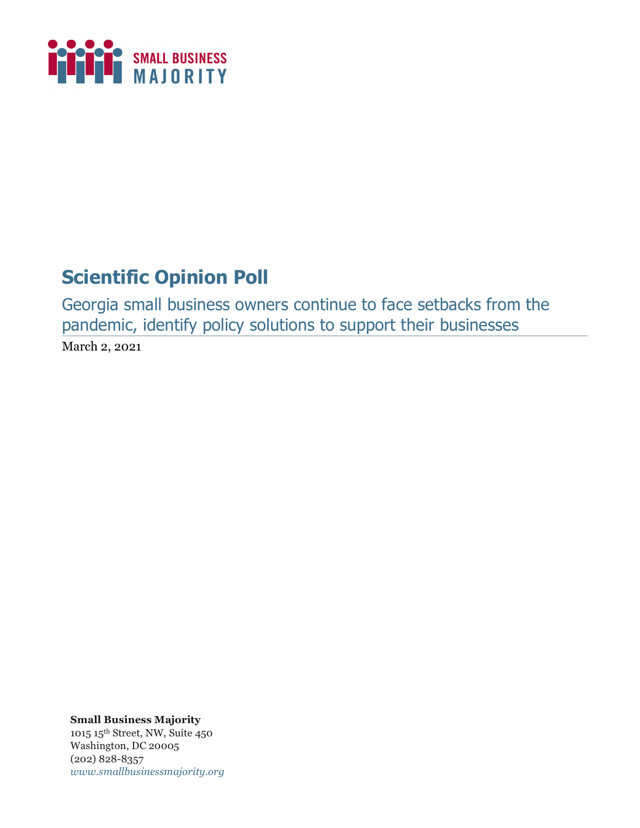

# **Scientific Opinion Poll**

Georgia small business owners continue to face setbacks from the pandemic, identify policy solutions to support their businesses March 2, 2021

**Small Business Majority** 1015 15th Street, NW, Suite 450 Washington, DC 20005 (202) 828-8357 *www.smallbusinessmajority.org*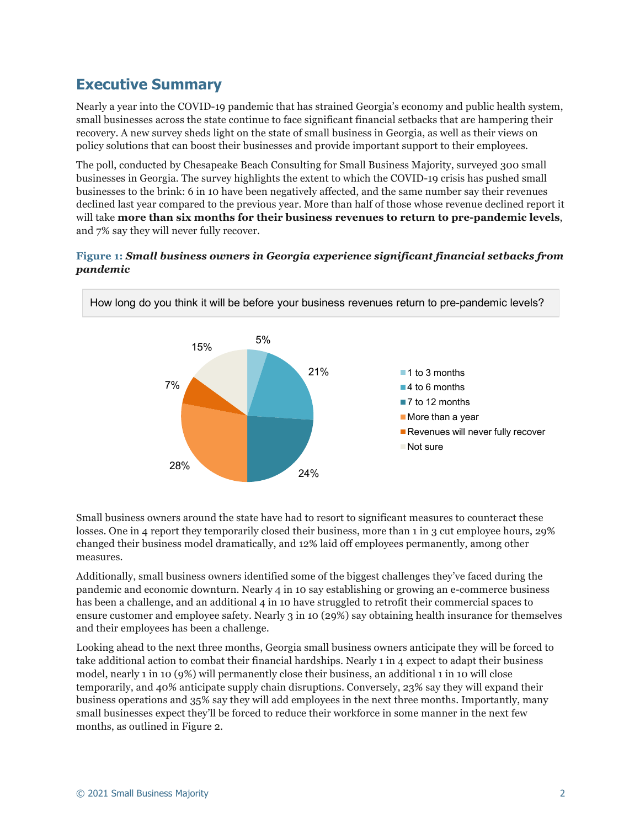# **Executive Summary**

Nearly a year into the COVID-19 pandemic that has strained Georgia's economy and public health system, small businesses across the state continue to face significant financial setbacks that are hampering their recovery. A new survey sheds light on the state of small business in Georgia, as well as their views on policy solutions that can boost their businesses and provide important support to their employees.

The poll, conducted by Chesapeake Beach Consulting for Small Business Majority, surveyed 300 small businesses in Georgia. The survey highlights the extent to which the COVID-19 crisis has pushed small businesses to the brink: 6 in 10 have been negatively affected, and the same number say their revenues declined last year compared to the previous year. More than half of those whose revenue declined report it will take **more than six months for their business revenues to return to pre-pandemic levels**, and 7% say they will never fully recover.

## **Figure 1:** *Small business owners in Georgia experience significant financial setbacks from pandemic*



Small business owners around the state have had to resort to significant measures to counteract these losses. One in 4 report they temporarily closed their business, more than 1 in 3 cut employee hours, 29% changed their business model dramatically, and 12% laid off employees permanently, among other measures.

Additionally, small business owners identified some of the biggest challenges they've faced during the pandemic and economic downturn. Nearly 4 in 10 say establishing or growing an e-commerce business has been a challenge, and an additional 4 in 10 have struggled to retrofit their commercial spaces to ensure customer and employee safety. Nearly 3 in 10 (29%) say obtaining health insurance for themselves and their employees has been a challenge.

Looking ahead to the next three months, Georgia small business owners anticipate they will be forced to take additional action to combat their financial hardships. Nearly 1 in 4 expect to adapt their business model, nearly 1 in 10 (9%) will permanently close their business, an additional 1 in 10 will close temporarily, and 40% anticipate supply chain disruptions. Conversely, 23% say they will expand their business operations and 35% say they will add employees in the next three months. Importantly, many small businesses expect they'll be forced to reduce their workforce in some manner in the next few months, as outlined in Figure 2.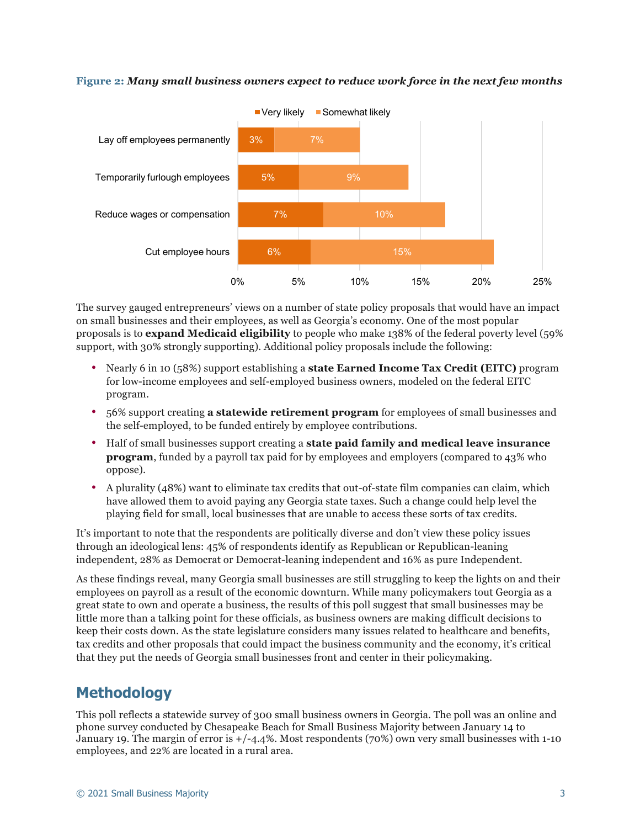#### **Figure 2:** *Many small business owners expect to reduce work force in the next few months*



The survey gauged entrepreneurs' views on a number of state policy proposals that would have an impact on small businesses and their employees, as well as Georgia's economy. One of the most popular proposals is to **expand Medicaid eligibility** to people who make 138% of the federal poverty level (59% support, with 30% strongly supporting). Additional policy proposals include the following:

- Nearly 6 in 10 (58%) support establishing a **state Earned Income Tax Credit (EITC)** program for low-income employees and self-employed business owners, modeled on the federal EITC program.
- 56% support creating **a statewide retirement program** for employees of small businesses and the self-employed, to be funded entirely by employee contributions.
- Half of small businesses support creating a **state paid family and medical leave insurance program**, funded by a payroll tax paid for by employees and employers (compared to 43% who oppose).
- A plurality (48%) want to eliminate tax credits that out-of-state film companies can claim, which have allowed them to avoid paying any Georgia state taxes. Such a change could help level the playing field for small, local businesses that are unable to access these sorts of tax credits.

It's important to note that the respondents are politically diverse and don't view these policy issues through an ideological lens: 45% of respondents identify as Republican or Republican-leaning independent, 28% as Democrat or Democrat-leaning independent and 16% as pure Independent.

As these findings reveal, many Georgia small businesses are still struggling to keep the lights on and their employees on payroll as a result of the economic downturn. While many policymakers tout Georgia as a great state to own and operate a business, the results of this poll suggest that small businesses may be little more than a talking point for these officials, as business owners are making difficult decisions to keep their costs down. As the state legislature considers many issues related to healthcare and benefits, tax credits and other proposals that could impact the business community and the economy, it's critical that they put the needs of Georgia small businesses front and center in their policymaking.

# **Methodology**

This poll reflects a statewide survey of 300 small business owners in Georgia. The poll was an online and phone survey conducted by Chesapeake Beach for Small Business Majority between January 14 to January 19. The margin of error is +/-4.4%. Most respondents (70%) own very small businesses with 1-10 employees, and 22% are located in a rural area.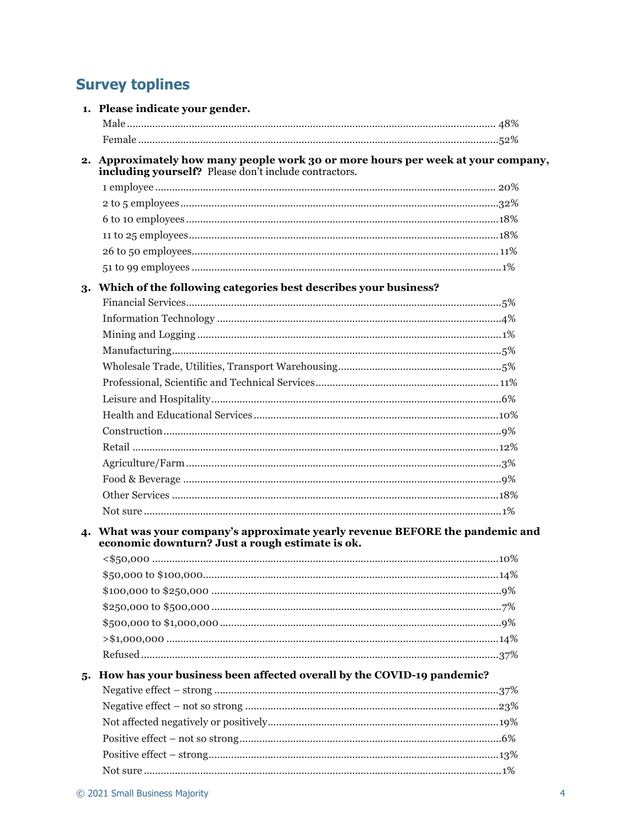# **Survey toplines**

|    | 1. Please indicate your gender.                                                                                                           |  |
|----|-------------------------------------------------------------------------------------------------------------------------------------------|--|
|    |                                                                                                                                           |  |
|    |                                                                                                                                           |  |
|    | 2. Approximately how many people work 30 or more hours per week at your company,<br>including yourself? Please don't include contractors. |  |
|    |                                                                                                                                           |  |
|    |                                                                                                                                           |  |
|    |                                                                                                                                           |  |
|    |                                                                                                                                           |  |
|    |                                                                                                                                           |  |
|    |                                                                                                                                           |  |
|    | 3. Which of the following categories best describes your business?                                                                        |  |
|    |                                                                                                                                           |  |
|    |                                                                                                                                           |  |
|    |                                                                                                                                           |  |
|    |                                                                                                                                           |  |
|    |                                                                                                                                           |  |
|    |                                                                                                                                           |  |
|    |                                                                                                                                           |  |
|    |                                                                                                                                           |  |
|    |                                                                                                                                           |  |
|    |                                                                                                                                           |  |
|    |                                                                                                                                           |  |
|    |                                                                                                                                           |  |
|    |                                                                                                                                           |  |
|    |                                                                                                                                           |  |
|    | 4. What was your company's approximate yearly revenue BEFORE the pandemic and                                                             |  |
|    | economic downturn? Just a rough estimate is ok.                                                                                           |  |
|    |                                                                                                                                           |  |
|    |                                                                                                                                           |  |
|    |                                                                                                                                           |  |
|    |                                                                                                                                           |  |
|    |                                                                                                                                           |  |
|    |                                                                                                                                           |  |
|    |                                                                                                                                           |  |
| 5. | How has your business been affected overall by the COVID-19 pandemic?                                                                     |  |
|    |                                                                                                                                           |  |
|    |                                                                                                                                           |  |
|    |                                                                                                                                           |  |
|    |                                                                                                                                           |  |
|    |                                                                                                                                           |  |
|    |                                                                                                                                           |  |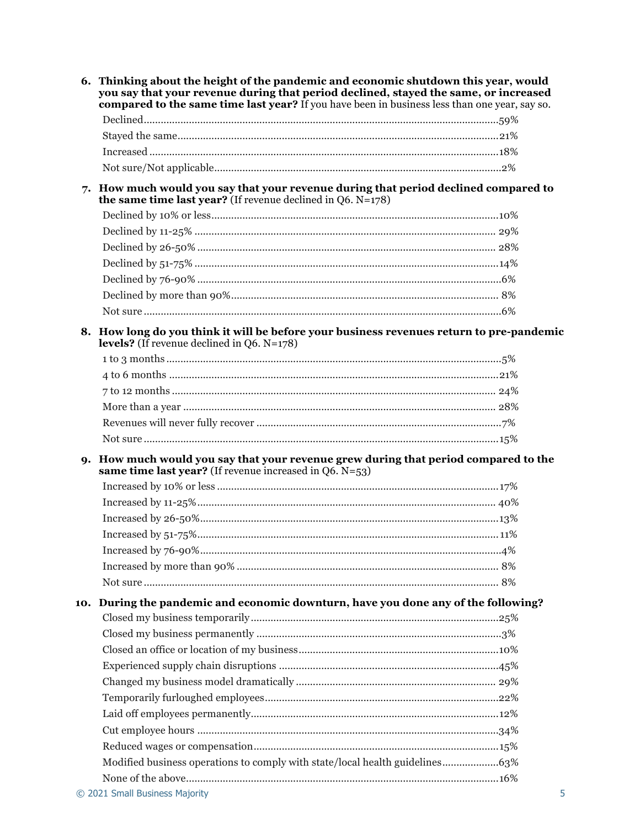|    | 6. Thinking about the height of the pandemic and economic shutdown this year, would<br>you say that your revenue during that period declined, stayed the same, or increased<br>compared to the same time last year? If you have been in business less than one year, say so. |  |
|----|------------------------------------------------------------------------------------------------------------------------------------------------------------------------------------------------------------------------------------------------------------------------------|--|
|    |                                                                                                                                                                                                                                                                              |  |
|    |                                                                                                                                                                                                                                                                              |  |
|    |                                                                                                                                                                                                                                                                              |  |
|    |                                                                                                                                                                                                                                                                              |  |
| 7. | How much would you say that your revenue during that period declined compared to<br>the same time last year? (If revenue declined in $Q6$ . $N=178$ )                                                                                                                        |  |
|    |                                                                                                                                                                                                                                                                              |  |
|    |                                                                                                                                                                                                                                                                              |  |
|    |                                                                                                                                                                                                                                                                              |  |
|    |                                                                                                                                                                                                                                                                              |  |
|    |                                                                                                                                                                                                                                                                              |  |
|    |                                                                                                                                                                                                                                                                              |  |
|    |                                                                                                                                                                                                                                                                              |  |
|    | 8. How long do you think it will be before your business revenues return to pre-pandemic<br><b>levels?</b> (If revenue declined in $Q6$ , $N=178$ )                                                                                                                          |  |
|    |                                                                                                                                                                                                                                                                              |  |
|    |                                                                                                                                                                                                                                                                              |  |
|    |                                                                                                                                                                                                                                                                              |  |
|    |                                                                                                                                                                                                                                                                              |  |
|    |                                                                                                                                                                                                                                                                              |  |
|    |                                                                                                                                                                                                                                                                              |  |
|    | 9. How much would you say that your revenue grew during that period compared to the<br>same time last year? (If revenue increased in $Q6. N=53$ )                                                                                                                            |  |
|    |                                                                                                                                                                                                                                                                              |  |
|    |                                                                                                                                                                                                                                                                              |  |
|    |                                                                                                                                                                                                                                                                              |  |
|    |                                                                                                                                                                                                                                                                              |  |
|    |                                                                                                                                                                                                                                                                              |  |
|    |                                                                                                                                                                                                                                                                              |  |
|    |                                                                                                                                                                                                                                                                              |  |
|    | 10. During the pandemic and economic downturn, have you done any of the following?                                                                                                                                                                                           |  |
|    |                                                                                                                                                                                                                                                                              |  |
|    |                                                                                                                                                                                                                                                                              |  |
|    |                                                                                                                                                                                                                                                                              |  |
|    |                                                                                                                                                                                                                                                                              |  |
|    |                                                                                                                                                                                                                                                                              |  |
|    |                                                                                                                                                                                                                                                                              |  |
|    |                                                                                                                                                                                                                                                                              |  |
|    |                                                                                                                                                                                                                                                                              |  |
|    |                                                                                                                                                                                                                                                                              |  |
|    | Modified business operations to comply with state/local health guidelines63%                                                                                                                                                                                                 |  |
|    |                                                                                                                                                                                                                                                                              |  |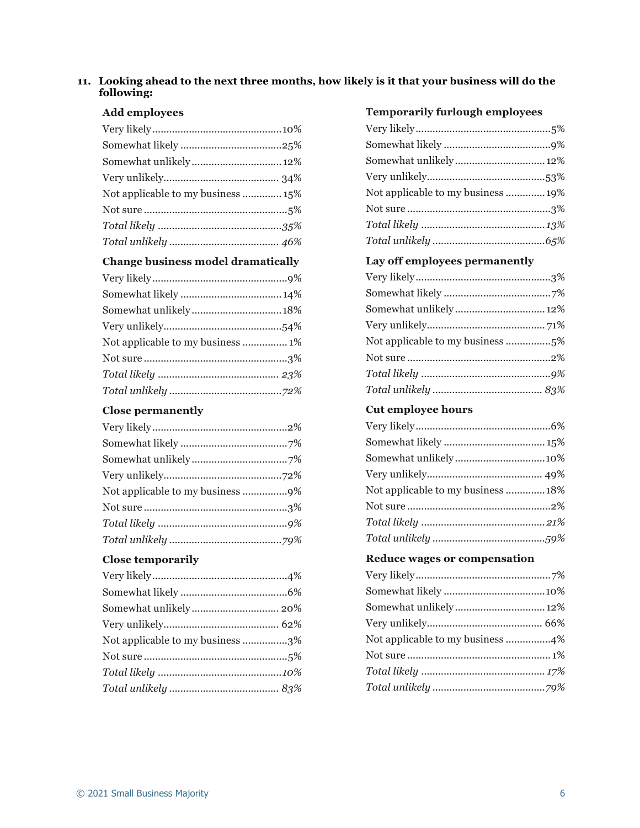### **11. Looking ahead to the next three months, how likely is it that your business will do the following:**

#### **Add employees**

| Somewhat unlikely 12%              |  |
|------------------------------------|--|
|                                    |  |
| Not applicable to my business  15% |  |
|                                    |  |
|                                    |  |
|                                    |  |

# **Change business model dramatically**

| Somewhat unlikely18%              |  |
|-----------------------------------|--|
|                                   |  |
| Not applicable to my business  1% |  |
|                                   |  |
|                                   |  |
|                                   |  |

# **Close permanently**

| Not applicable to my business 9% |  |
|----------------------------------|--|
|                                  |  |
|                                  |  |
|                                  |  |

# **Close temporarily**

| Not applicable to my business 3% |  |
|----------------------------------|--|
|                                  |  |
|                                  |  |
|                                  |  |
|                                  |  |

# **Temporarily furlough employees**

| Somewhat unlikely 12%             |  |
|-----------------------------------|--|
|                                   |  |
| Not applicable to my business 19% |  |
|                                   |  |
|                                   |  |
|                                   |  |

# **Lay off employees permanently**

| Somewhat unlikely 12% |  |
|-----------------------|--|
|                       |  |
|                       |  |
|                       |  |
|                       |  |
|                       |  |

## **Cut employee hours**

| Not applicable to my business  18% |  |
|------------------------------------|--|
|                                    |  |
|                                    |  |
|                                    |  |

### **Reduce wages or compensation**

| Somewhat unlikely 12% |  |
|-----------------------|--|
|                       |  |
|                       |  |
|                       |  |
|                       |  |
|                       |  |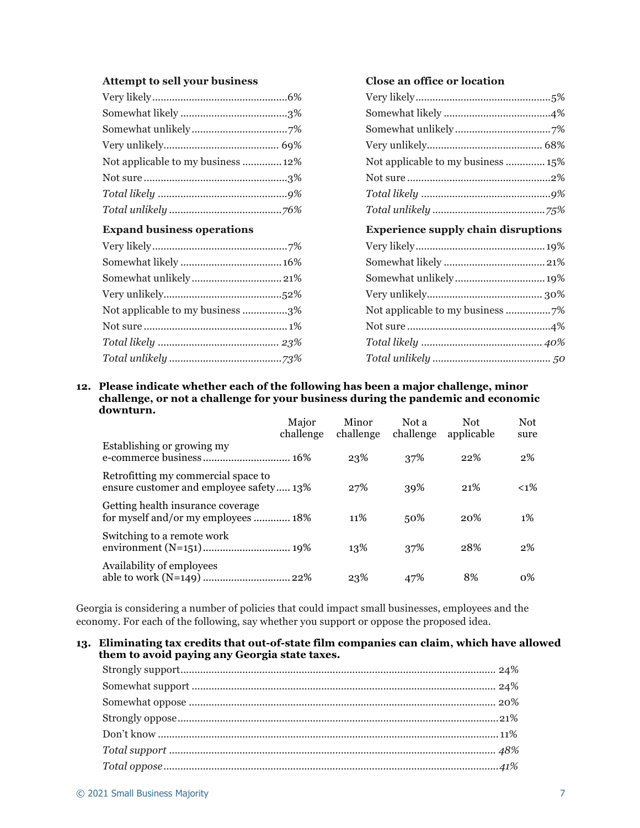#### **Attempt to sell your business**

| Not applicable to my business  12% |  |
|------------------------------------|--|
|                                    |  |
|                                    |  |
|                                    |  |
|                                    |  |

# **Expand business operations**

| Not applicable to my business 3% |  |
|----------------------------------|--|
|                                  |  |
|                                  |  |
|                                  |  |
|                                  |  |

### **Close an office or location**

| Not applicable to my business  15%         |  |  |  |  |
|--------------------------------------------|--|--|--|--|
|                                            |  |  |  |  |
|                                            |  |  |  |  |
|                                            |  |  |  |  |
| <b>Experience supply chain disruptions</b> |  |  |  |  |
|                                            |  |  |  |  |
|                                            |  |  |  |  |
|                                            |  |  |  |  |
|                                            |  |  |  |  |
|                                            |  |  |  |  |
|                                            |  |  |  |  |
|                                            |  |  |  |  |
|                                            |  |  |  |  |
|                                            |  |  |  |  |

**12. Please indicate whether each of the following has been a major challenge, minor challenge, or not a challenge for your business during the pandemic and economic downturn.**

|                                                                                | Major<br>challenge | Minor<br>challenge | Not a<br>challenge | <b>Not</b><br>applicable | <b>Not</b><br>sure |
|--------------------------------------------------------------------------------|--------------------|--------------------|--------------------|--------------------------|--------------------|
| Establishing or growing my                                                     |                    | 23%                | 37%                | 22%                      | 2%                 |
| Retrofitting my commercial space to<br>ensure customer and employee safety 13% |                    | 27%                | 39%                | 21%                      | $< 1\%$            |
| Getting health insurance coverage<br>for myself and/or my employees  18%       |                    | 11%                | 50%                | 20%                      | $1\%$              |
| Switching to a remote work                                                     |                    | 13%                | 37%                | 28%                      | 2%                 |
| Availability of employees                                                      |                    | 23%                | 47%                | 8%                       | 0%                 |

Georgia is considering a number of policies that could impact small businesses, employees and the economy. For each of the following, say whether you support or oppose the proposed idea.

#### **13. Eliminating tax credits that out-of-state film companies can claim, which have allowed them to avoid paying any Georgia state taxes.**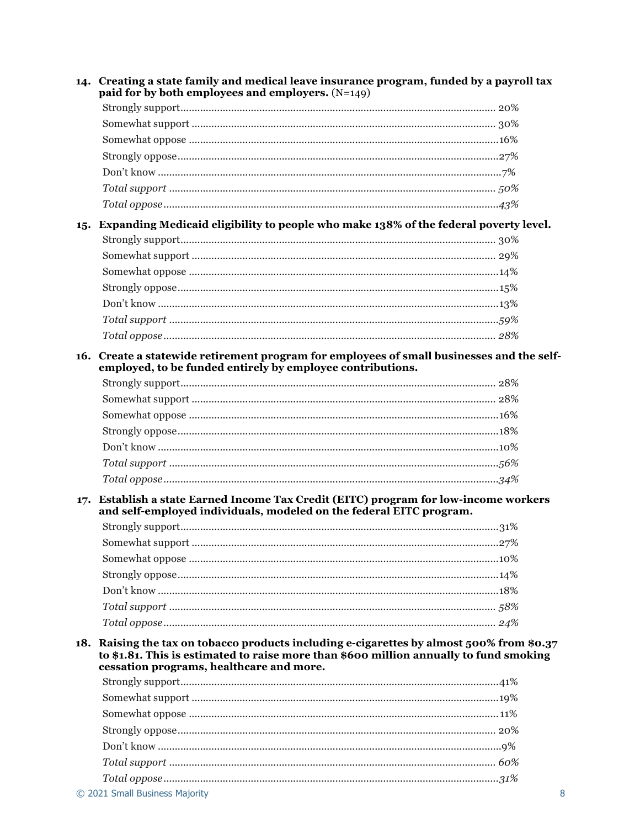|     | 14. Creating a state family and medical leave insurance program, funded by a payroll tax<br>paid for by both employees and employers. $(N=149)$                                                                                 |      |  |  |
|-----|---------------------------------------------------------------------------------------------------------------------------------------------------------------------------------------------------------------------------------|------|--|--|
|     |                                                                                                                                                                                                                                 |      |  |  |
|     |                                                                                                                                                                                                                                 |      |  |  |
|     |                                                                                                                                                                                                                                 |      |  |  |
|     |                                                                                                                                                                                                                                 |      |  |  |
|     |                                                                                                                                                                                                                                 |      |  |  |
|     |                                                                                                                                                                                                                                 |      |  |  |
|     |                                                                                                                                                                                                                                 |      |  |  |
|     | 15. Expanding Medicaid eligibility to people who make 138% of the federal poverty level.                                                                                                                                        |      |  |  |
|     |                                                                                                                                                                                                                                 |      |  |  |
|     |                                                                                                                                                                                                                                 |      |  |  |
|     |                                                                                                                                                                                                                                 |      |  |  |
|     |                                                                                                                                                                                                                                 |      |  |  |
|     |                                                                                                                                                                                                                                 |      |  |  |
|     |                                                                                                                                                                                                                                 |      |  |  |
|     |                                                                                                                                                                                                                                 |      |  |  |
| 16. | Create a statewide retirement program for employees of small businesses and the self-<br>employed, to be funded entirely by employee contributions.                                                                             |      |  |  |
|     |                                                                                                                                                                                                                                 |      |  |  |
|     |                                                                                                                                                                                                                                 |      |  |  |
|     |                                                                                                                                                                                                                                 |      |  |  |
|     |                                                                                                                                                                                                                                 |      |  |  |
|     |                                                                                                                                                                                                                                 |      |  |  |
|     |                                                                                                                                                                                                                                 |      |  |  |
|     |                                                                                                                                                                                                                                 |      |  |  |
| 17. | Establish a state Earned Income Tax Credit (EITC) program for low-income workers<br>and self-employed individuals, modeled on the federal EITC program.                                                                         |      |  |  |
|     |                                                                                                                                                                                                                                 |      |  |  |
|     |                                                                                                                                                                                                                                 | .27% |  |  |
|     |                                                                                                                                                                                                                                 |      |  |  |
|     |                                                                                                                                                                                                                                 |      |  |  |
|     |                                                                                                                                                                                                                                 |      |  |  |
|     |                                                                                                                                                                                                                                 |      |  |  |
|     |                                                                                                                                                                                                                                 |      |  |  |
|     | 18. Raising the tax on tobacco products including e-cigarettes by almost 500% from \$0.37<br>to \$1.81. This is estimated to raise more than \$600 million annually to fund smoking<br>cessation programs, healthcare and more. |      |  |  |
|     |                                                                                                                                                                                                                                 |      |  |  |
|     |                                                                                                                                                                                                                                 |      |  |  |
|     |                                                                                                                                                                                                                                 |      |  |  |
|     |                                                                                                                                                                                                                                 |      |  |  |
|     |                                                                                                                                                                                                                                 |      |  |  |
|     |                                                                                                                                                                                                                                 |      |  |  |
|     |                                                                                                                                                                                                                                 |      |  |  |